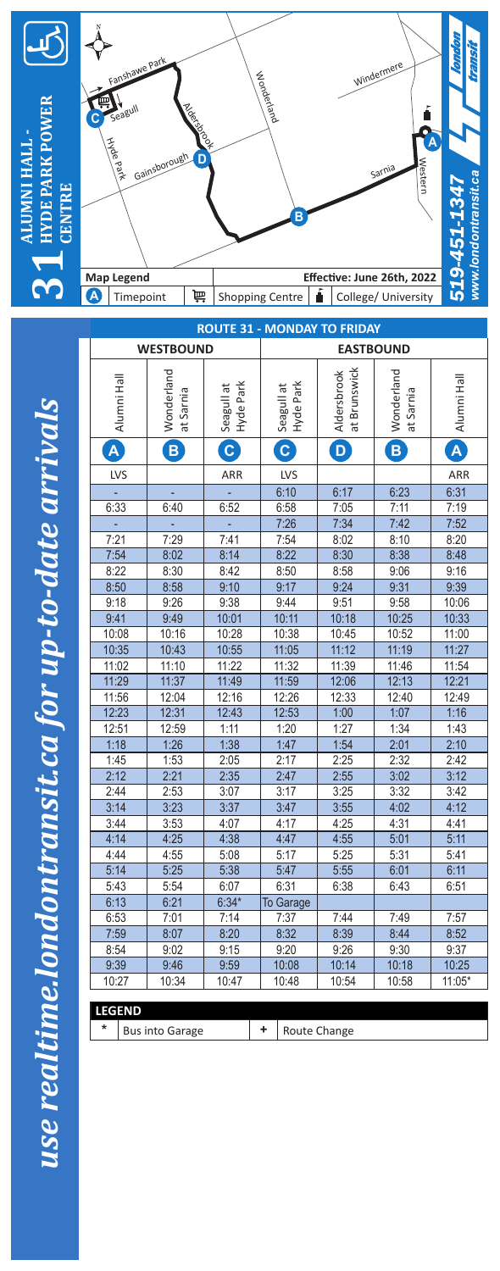

use realtime.londontransit.ca for up-to-date arrivals *use realtime.londontransit.ca for up-to-date arrivals*

L

| <b>ROUTE 31 - MONDAY TO FRIDAY</b> |             |                         |                         |                  |                         |                             |                         |                         |  |
|------------------------------------|-------------|-------------------------|-------------------------|------------------|-------------------------|-----------------------------|-------------------------|-------------------------|--|
| <b>WESTBOUND</b>                   |             |                         |                         |                  | <b>EASTBOUND</b>        |                             |                         |                         |  |
|                                    | Alumni Hall | Wonderland<br>at Sarnia | Hyde Park<br>Seagull at |                  | Hyde Park<br>Seagull at | at Brunswick<br>Aldersbrook | Wonderland<br>at Sarnia | Alumni Hall             |  |
| $\overline{\mathsf{A}}$            |             | $\overline{\mathbf{B}}$ | $\overline{c}$          |                  | $\boxed{\textbf{c}}$    | $\mathbf{D}$                | B                       | $\overline{\mathsf{A}}$ |  |
|                                    | LVS         |                         | ARR                     |                  | LVS                     |                             |                         | ARR                     |  |
|                                    |             |                         |                         |                  | 6:10                    | 6:17                        | 6:23                    | 6:31                    |  |
| 6:33                               |             | 6:40                    | 6:52                    |                  | 6:58                    | 7:05                        | 7:11                    | 7:19                    |  |
|                                    |             |                         |                         |                  | 7:26                    | 7:34                        | 7:42                    | 7:52                    |  |
| 7:21                               |             | $\overline{7:}29$       | 7:41                    |                  | 7:54                    | 8:02                        | 8:10                    | 8:20                    |  |
| 7:54                               |             | 8:02                    | 8:14                    |                  | 8:22                    | 8:30                        | 8:38                    | 8:48                    |  |
| 8:22                               |             | 8:30                    | 8:42                    |                  | 8:50                    | 8:58                        | 9:06                    | 9:16                    |  |
| 8:50                               |             | 8:58                    | 9:10                    |                  | 9:17                    | 9:24                        | 9:31                    | 9:39                    |  |
| 9:18                               |             | 9:26                    | 9:38                    |                  | 9:44                    | 9:51                        | 9:58                    | 10:06                   |  |
| 9:41                               |             | 9:49                    | 10:01                   |                  | 10:11                   | 10:18                       | 10:25                   | 10:33                   |  |
| 10:08                              |             | 10:16                   | 10:28                   |                  | 10:38                   | 10:45                       | 10:52                   | 11:00                   |  |
| 10:35                              |             | 10:43                   | 10:55                   |                  | 11:05                   | 11:12                       | 11:19                   | 11:27                   |  |
| 11:02                              |             | 11:10                   | 11:22                   |                  | 11:32                   | 11:39                       | 11:46                   | 11:54                   |  |
| 11:29                              |             | 11:37                   | 11:49                   |                  | 11:59                   | 12:06                       | 12:13                   | 12:21                   |  |
| 11:56                              |             | 12:04                   | 12:16                   |                  | 12:26                   | 12:33                       | 12:40                   | 12:49                   |  |
| 12:23                              |             | 12:31                   | 12:43                   |                  | 12:53                   | 1:00                        | 1:07                    | 1:16                    |  |
| 12:51                              |             | 12:59                   | 1:11                    | 1:20             |                         | 1:27                        | 1:34                    | 1:43                    |  |
| 1:18                               |             | 1:26                    | 1:38                    |                  | 1:47                    | 1:54                        | 2:01                    | 2:10                    |  |
| 1:45                               |             | 1:53                    | 2:05                    |                  | 2:17                    | 2:25                        | 2:32                    | 2:42                    |  |
| 2:12                               |             | 2:21                    | 2:35                    |                  | 2:47                    | 2:55                        | 3:02                    | 3:12                    |  |
| 2:44                               |             | 2:53                    | 3:07                    |                  | 3:17                    | 3:25                        | 3:32                    | 3:42                    |  |
| 3:14                               |             | 3:23                    | 3:37                    |                  | 3:47                    | 3:55                        | 4:02                    | 4:12                    |  |
| 3:44                               |             | 3:53                    | 4:07                    |                  | 4:17                    | 4:25                        | 4:31                    | 4:41                    |  |
| 4:14                               |             | 4:25                    | 4:38                    |                  | 4:47                    | 4:55                        | 5:01                    | 5:11                    |  |
| 4:44                               |             | 4:55                    | 5:08                    |                  | 5:17                    | 5:25                        | 5:31                    | 5:41                    |  |
| 5:14                               |             | 5:25                    | 5:38                    |                  | 5:47                    | 5:55                        | 6:01                    | 6:11                    |  |
| 5:43                               |             | 5:54                    | 6:07                    |                  | 6:31                    | 6:38                        | 6:43                    | 6:51                    |  |
| 6:13                               |             | 6:21                    | $6:34*$                 | <b>To Garage</b> |                         |                             |                         |                         |  |
| 6:53<br>7:59                       |             | 7:01                    | 7:14                    | 7:37<br>8:32     |                         | 7:44                        | 7:49                    | 7:57                    |  |
| 8:54                               |             | 8:07<br>9:02            | 8:20<br>9:15            |                  | 9:20                    | 8:39<br>9:26                | 8:44<br>9:30            | 8:52<br>9:37            |  |
| 9:39                               |             | 9:46                    | 9:59                    |                  |                         | 10:14                       | 10:18                   | 10:25                   |  |
| 10:27                              |             | 10:34                   | 10:47                   | 10:08<br>10:48   |                         | 10:54                       | 10:58                   | $11:05*$                |  |
|                                    |             |                         |                         |                  |                         |                             |                         |                         |  |
| <b>LEGEND</b>                      |             |                         |                         |                  |                         |                             |                         |                         |  |
| *                                  |             | <b>Bus into Garage</b>  |                         | ÷.               |                         | Route Change                |                         |                         |  |
|                                    |             |                         |                         |                  |                         |                             |                         |                         |  |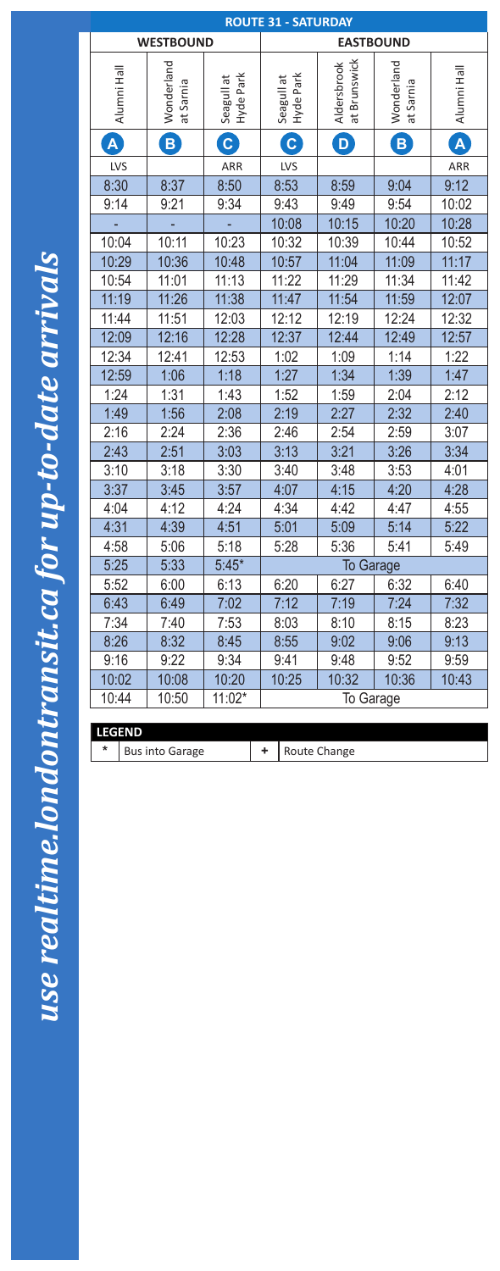| <b>ROUTE 31 - SATURDAY</b> |                         |                         |                         |                             |                         |              |
|----------------------------|-------------------------|-------------------------|-------------------------|-----------------------------|-------------------------|--------------|
|                            | <b>WESTBOUND</b>        |                         | <b>EASTBOUND</b>        |                             |                         |              |
| Alumni Hall                | Wonderland<br>at Sarnia | Seagull at<br>Hyde Park | Hyde Park<br>Seagull at | at Brunswick<br>Aldersbrook | Wonderland<br>at Sarnia | Alumni Hall  |
| $\blacktriangle$           | $\mathbf B$             | $\mathbf{C}$            | $\boxed{\text{c}}$      | D                           | $\mathbf{B}$            | $\mathbf{A}$ |
| LVS                        |                         | ARR                     | <b>LVS</b>              |                             |                         | ARR          |
| 8:30                       | 8:37                    | 8:50                    | 8:53                    | 8:59                        | 9:04                    | 9:12         |
| 9:14                       | 9:21                    | 9:34                    | 9:43                    | 9:49                        | 9:54                    | 10:02        |
|                            |                         |                         | 10:08                   | 10:15                       | 10:20                   | 10:28        |
| 10:04                      | 10:11                   | 10:23                   | 10:32                   | 10:39                       | 10:44                   | 10:52        |
| 10:29                      | 10:36                   | 10:48                   | 10:57                   | 11:04                       | 11:09                   | 11:17        |
| 10:54                      | 11:01                   | 11:13                   | 11:22                   | 11:29                       | 11:34                   | 11:42        |
| 11:19                      | 11:26                   | 11:38                   | 11:47                   | 11:54                       | 11:59                   | 12:07        |
| 11:44                      | 11:51                   | 12:03                   | 12:12                   | 12:19                       | 12:24                   | 12:32        |
| 12:09                      | 12:16                   | 12:28                   | 12:37                   | 12:44                       | 12:49                   | 12:57        |
| 12:34                      | 12:41                   | 12:53                   | 1:02                    | 1:09                        | 1:14                    | 1:22         |
| 12:59                      | 1:06                    | 1:18                    | 1:27                    | 1:34                        | 1:39                    | 1:47         |
| 1:24                       | 1:31                    | 1:43                    | 1:52                    | 1:59                        | 2:04                    | 2:12         |
| 1:49                       | 1:56                    | 2:08                    | 2:19                    | 2:27                        | 2:32                    | 2:40         |
| 2:16                       | 2:24                    | 2:36                    | 2:46                    | 2:54                        | 2:59                    | 3:07         |
| 2:43                       | 2:51                    | 3:03                    | 3:13                    | 3:21                        | 3:26                    | 3:34         |
| 3:10                       | 3:18                    | 3:30                    | 3:40                    | 3:48                        | 3:53                    | 4:01         |
| 3:37                       | 3:45                    | 3:57                    | 4:07                    | 4:15                        | 4:20                    | 4:28         |
| 4:04                       | 4:12                    | 4:24                    | 4:34                    | 4:42                        | 4:47                    | 4:55         |
| 4:31                       | 4:39                    | 4:51                    | 5:01                    | 5:09                        | 5:14                    | 5:22         |
| 4:58                       | 5:06                    | 5:18                    | 5:28                    | 5:36                        | 5:41                    | 5:49         |
| 5:25                       | 5:33                    | $5:45*$                 |                         | To Garage                   |                         |              |
| 5:52                       | 6:00                    | 6:13                    | 6:20                    | 6:27                        | 6:32                    | 6:40         |
| 6:43                       | 6:49                    | 7:02                    | 7:12                    | 7:19                        | 7:24                    | 7:32         |
| 7:34                       | 7:40                    | 7:53                    | 8:03                    | 8:10                        | 8:15                    | 8:23         |
| 8:26                       | 8:32                    | 8:45                    | 8:55                    | 9:02                        | 9:06                    | 9:13         |
| 9:16                       | 9:22                    | 9:34                    | 9:41                    | 9:48                        | 9:52                    | 9:59         |
| 10:02                      | 10:08                   | 10:20                   | 10:25                   | 10:32                       | 10:36                   | 10:43        |
| 11:02*<br>10:44<br>10:50   |                         |                         | To Garage               |                             |                         |              |

**LEGEND**

\* Bus into Garage **+** Route Change